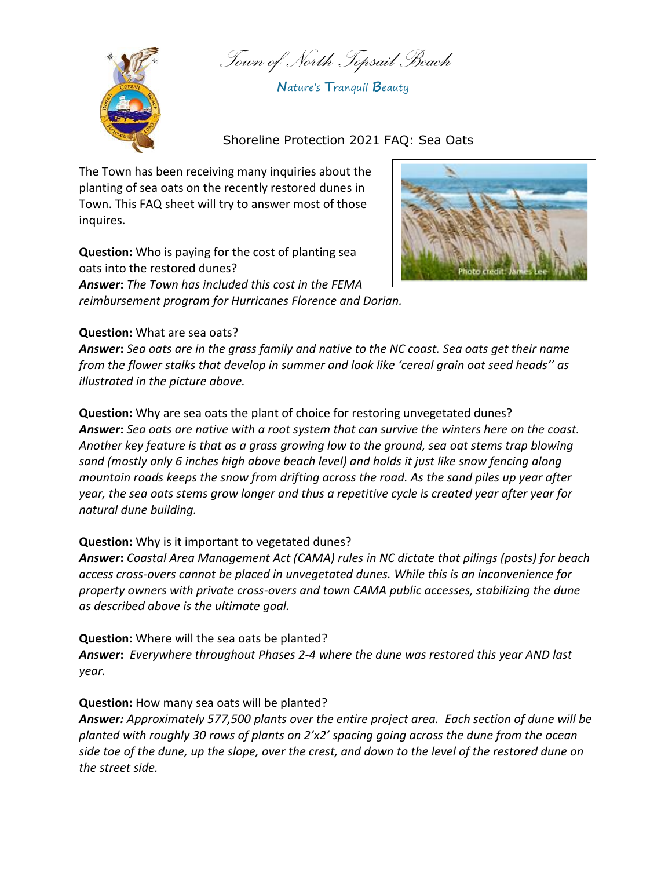*Town of North Topsail Beach*



**N**ature's **T**ranquil **B**eauty

Shoreline Protection 2021 FAQ: Sea Oats

The Town has been receiving many inquiries about the planting of sea oats on the recently restored dunes in Town. This FAQ sheet will try to answer most of those inquires.

**Question:** Who is paying for the cost of planting sea oats into the restored dunes? *Answer***:** *The Town has included this cost in the FEMA reimbursement program for Hurricanes Florence and Dorian.*



## **Question:** What are sea oats?

*Answer***:** *Sea oats are in the grass family and native to the NC coast. Sea oats get their name from the flower stalks that develop in summer and look like 'cereal grain oat seed heads'' as illustrated in the picture above.*

**Question:** Why are sea oats the plant of choice for restoring unvegetated dunes? *Answer***:** *Sea oats are native with a root system that can survive the winters here on the coast. Another key feature is that as a grass growing low to the ground, sea oat stems trap blowing sand (mostly only 6 inches high above beach level) and holds it just like snow fencing along mountain roads keeps the snow from drifting across the road. As the sand piles up year after year, the sea oats stems grow longer and thus a repetitive cycle is created year after year for natural dune building.*

## **Question:** Why is it important to vegetated dunes?

*Answer***:** *Coastal Area Management Act (CAMA) rules in NC dictate that pilings (posts) for beach access cross-overs cannot be placed in unvegetated dunes. While this is an inconvenience for property owners with private cross-overs and town CAMA public accesses, stabilizing the dune as described above is the ultimate goal.*

**Question:** Where will the sea oats be planted? *Answer***:** *Everywhere throughout Phases 2-4 where the dune was restored this year AND last year.*

## **Question:** How many sea oats will be planted?

*Answer: Approximately 577,500 plants over the entire project area. Each section of dune will be planted with roughly 30 rows of plants on 2'x2' spacing going across the dune from the ocean side toe of the dune, up the slope, over the crest, and down to the level of the restored dune on the street side.*